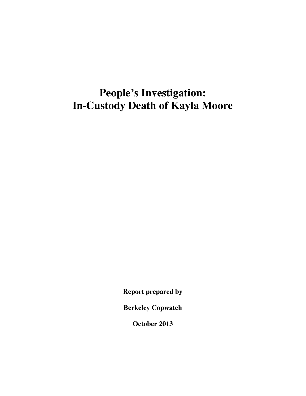# **People's Investigation: In-Custody Death of Kayla Moore**

**Report prepared by**

**Berkeley Copwatch**

**October 2013**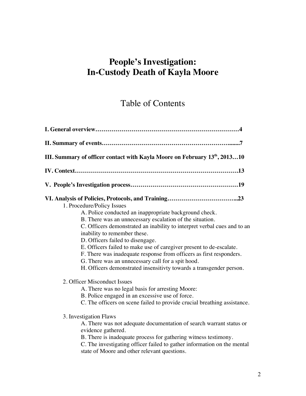# **People's Investigation: In-Custody Death of Kayla Moore**

# Table of Contents

| III. Summary of officer contact with Kayla Moore on February 13th, 201310 |  |  |                                                                                                                                                                                                                                                                                                                                                                                                                                                                                                                                                                            |
|---------------------------------------------------------------------------|--|--|----------------------------------------------------------------------------------------------------------------------------------------------------------------------------------------------------------------------------------------------------------------------------------------------------------------------------------------------------------------------------------------------------------------------------------------------------------------------------------------------------------------------------------------------------------------------------|
|                                                                           |  |  | 1. Procedure/Policy Issues<br>A. Police conducted an inappropriate background check.<br>B. There was an unnecessary escalation of the situation.<br>C. Officers demonstrated an inability to interpret verbal cues and to an<br>inability to remember these.<br>D. Officers failed to disengage.<br>E. Officers failed to make use of caregiver present to de-escalate.<br>F. There was inadequate response from officers as first responders.<br>G. There was an unnecessary call for a spit hood.<br>H. Officers demonstrated insensitivty towards a transgender person. |
|                                                                           |  |  | 2. Officer Misconduct Issues<br>A. There was no legal basis for arresting Moore:<br>B. Police engaged in an excessive use of force.<br>C. The officers on scene failed to provide crucial breathing assistance.<br>3. Investigation Flaws<br>A. There was not adequate documentation of search warrant status or<br>evidence gathered.<br>B. There is inadequate process for gathering witness testimony.<br>C. The investigating officer failed to gather information on the mental<br>state of Moore and other relevant questions.                                       |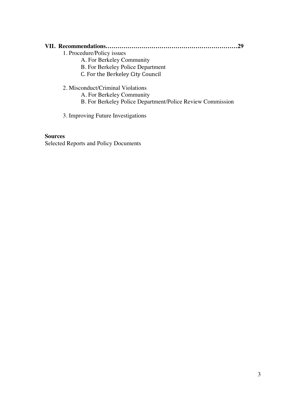### **VII. Recommendations…………………………………………………………29**

- 1. Procedure/Policy issues
	- A. For Berkeley Community
	- B. For Berkeley Police Department
	- C. For the Berkeley City Council
- 2. Misconduct/Criminal Violations
	- A. For Berkeley Community
	- B. For Berkeley Police Department/Police Review Commission
- 3. Improving Future Investigations

#### **Sources**

Selected Reports and Policy Documents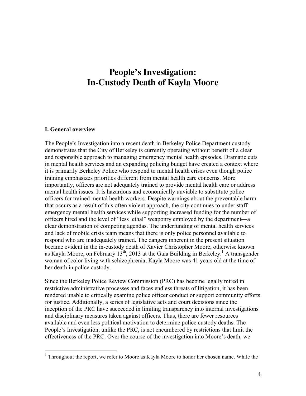# **People's Investigation: In-Custody Death of Kayla Moore**

#### **I. General overview**

The People's Investigation into a recent death in Berkeley Police Department custody demonstrates that the City of Berkeley is currently operating without benefit of a clear and responsible approach to managing emergency mental health episodes. Dramatic cuts in mental health services and an expanding policing budget have created a context where it is primarily Berkeley Police who respond to mental health crises even though police training emphasizes priorities different from mental health care concerns. More importantly, officers are not adequately trained to provide mental health care or address mental health issues. It is hazardous and economically unviable to substitute police officers for trained mental health workers. Despite warnings about the preventable harm that occurs as a result of this often violent approach, the city continues to under staff emergency mental health services while supporting increased funding for the number of officers hired and the level of "less lethal" weaponry employed by the department—a clear demonstration of competing agendas. The underfunding of mental health services and lack of mobile crisis team means that there is only police personnel available to respond who are inadequately trained. The dangers inherent in the present situation became evident in the in-custody death of Xavier Christopher Moore, otherwise known as Kayla Moore, on February  $13<sup>th</sup>$ , 2013 at the Gaia Building in Berkeley.<sup>1</sup> A transgender woman of color living with schizophrenia, Kayla Moore was 41 years old at the time of her death in police custody.

Since the Berkeley Police Review Commission (PRC) has become legally mired in restrictive administrative processes and faces endless threats of litigation, it has been rendered unable to critically examine police officer conduct or support community efforts for justice. Additionally, a series of legislative acts and court decisions since the inception of the PRC have succeeded in limiting transparency into internal investigations and disciplinary measures taken against officers. Thus, there are fewer resources available and even less political motivation to determine police custody deaths. The People's Investigation, unlike the PRC, is not encumbered by restrictions that limit the effectiveness of the PRC. Over the course of the investigation into Moore's death, we

 $1$  Throughout the report, we refer to Moore as Kayla Moore to honor her chosen name. While the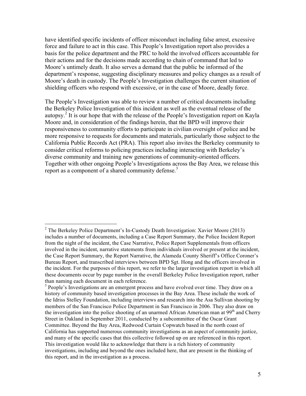have identified specific incidents of officer misconduct including false arrest, excessive force and failure to act in this case. This People's Investigation report also provides a basis for the police department and the PRC to hold the involved officers accountable for their actions and for the decisions made according to chain of command that led to Moore's untimely death. It also serves a demand that the public be informed of the department's response, suggesting disciplinary measures and policy changes as a result of Moore's death in custody. The People's Investigation challenges the current situation of shielding officers who respond with excessive, or in the case of Moore, deadly force.

The People's Investigation was able to review a number of critical documents including the Berkeley Police Investigation of this incident as well as the eventual release of the autopsy.<sup>2</sup> It is our hope that with the release of the People's Investigation report on Kayla Moore and, in consideration of the findings herein, that the BPD will improve their responsiveness to community efforts to participate in civilian oversight of police and be more responsive to requests for documents and materials, particularly those subject to the California Public Records Act (PRA). This report also invites the Berkeley community to consider critical reforms to policing practices including interacting with Berkeley's diverse community and training new generations of community-oriented officers. Together with other ongoing People's Investigations across the Bay Area, we release this report as a component of a shared community defense.<sup>3</sup>

<sup>&</sup>lt;sup>2</sup> The Berkeley Police Department's In-Custody Death Investigation: Xavier Moore (2013) includes a number of documents, including a Case Report Summary, the Police Incident Report from the night of the incident, the Case Narrative, Police Report Supplementals from officers involved in the incident, narrative statements from individuals involved or present at the incident, the Case Report Summary, the Report Narrative, the Alameda County Sheriff's Office Coroner's Bureau Report, and transcribed interviews between BPD Sgt. Hong and the officers involved in the incident. For the purposes of this report, we refer to the larger investigation report in which all these documents occur by page number in the overall Berkeley Police Investigation report, rather than naming each document in each reference.

<sup>&</sup>lt;sup>3</sup> People's Investigations are an emergent process and have evolved over time. They draw on a history of community based investigation processes in the Bay Area. These include the work of the Idriss Stelley Foundation, including interviews and research into the Asa Sullivan shooting by members of the San Francisco Police Department in San Francisco in 2006. They also draw on the investigation into the police shooting of an unarmed African American man at  $99<sup>th</sup>$  and Cherry Street in Oakland in September 2011, conducted by a subcommittee of the Oscar Grant Committee. Beyond the Bay Area, Redwood Curtain Copwatch based in the north coast of California has supported numerous community investigations as an aspect of community justice, and many of the specific cases that this collective followed up on are referenced in this report. This investigation would like to acknowledge that there is a rich history of community investigations, including and beyond the ones included here, that are present in the thinking of this report, and in the investigation as a process.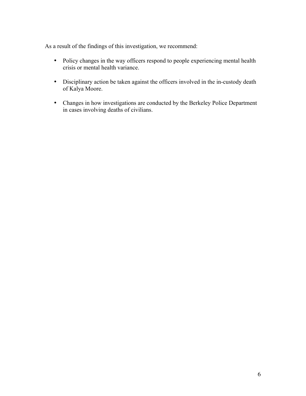As a result of the findings of this investigation, we recommend:

- Policy changes in the way officers respond to people experiencing mental health crisis or mental health variance.
- Disciplinary action be taken against the officers involved in the in-custody death of Kalya Moore.
- Changes in how investigations are conducted by the Berkeley Police Department in cases involving deaths of civilians.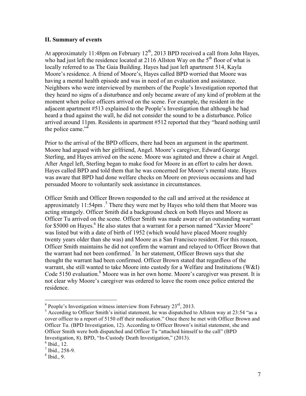#### **II. Summary of events**

At approximately 11:48pm on February  $12<sup>th</sup>$ , 2013 BPD received a call from John Hayes, who had just left the residence located at 2116 Allston Way on the  $5<sup>th</sup>$  floor of what is locally referred to as The Gaia Building. Hayes had just left apartment 514, Kayla Moore's residence. A friend of Moore's, Hayes called BPD worried that Moore was having a mental health episode and was in need of an evaluation and assistance. Neighbors who were interviewed by members of the People's Investigation reported that they heard no signs of a disturbance and only became aware of any kind of problem at the moment when police officers arrived on the scene. For example, the resident in the adjacent apartment #513 explained to the People's Investigation that although he had heard a thud against the wall, he did not consider the sound to be a disturbance. Police arrived around 11pm. Residents in apartment #512 reported that they "heard nothing until the police came."<sup>4</sup>

Prior to the arrival of the BPD officers, there had been an argument in the apartment. Moore had argued with her girlfriend, Angel. Moore's caregiver, Edward George Sterling, and Hayes arrived on the scene. Moore was agitated and threw a chair at Angel. After Angel left, Sterling began to make food for Moore in an effort to calm her down. Hayes called BPD and told them that he was concerned for Moore's mental state. Hayes was aware that BPD had done welfare checks on Moore on previous occasions and had persuaded Moore to voluntarily seek assistance in circumstances.

Officer Smith and Officer Brown responded to the call and arrived at the residence at approximately 11:54pm . <sup>5</sup> There they were met by Hayes who told them that Moore was acting strangely. Officer Smith did a background check on both Hayes and Moore as Officer Tu arrived on the scene. Officer Smith was made aware of an outstanding warrant for \$5000 on Hayes.<sup>6</sup> He also states that a warrant for a person named "Xavier Moore" was listed but with a date of birth of 1952 (which would have placed Moore roughly twenty years older than she was) and Moore as a San Francisco resident. For this reason, Officer Smith maintains he did not confirm the warrant and relayed to Officer Brown that the warrant had not been confirmed.<sup>7</sup> In her statement, Officer Brown says that she thought the warrant had been confirmed. Officer Brown stated that regardless of the warrant, she still wanted to take Moore into custody for a Welfare and Institutions (W&I) Code 5150 evaluation. <sup>8</sup> Moore was in her own home. Moore's caregiver was present. It is not clear why Moore's caregiver was ordered to leave the room once police entered the residence.

 $4$  People's Investigation witness interview from February  $23<sup>rd</sup>$ , 2013.

<sup>&</sup>lt;sup>5</sup> According to Officer Smith's initial statement, he was dispatched to Allston way at 23:54 "as a cover officer to a report of 5150 off their medication." Once there he met with Officer Brown and Officer Tu. (BPD Investigation, 12). According to Officer Brown's initial statement, she and Officer Smith were both dispatched and Officer Tu "attached himself to the call" (BPD Investigation, 8). BPD, "In-Custody Death Investigation," (2013).

 $<sup>6</sup>$  Ibid., 12.</sup>

 $<sup>7</sup>$  Ibid., 258-9.</sup>

 $8$  Ibid., 9.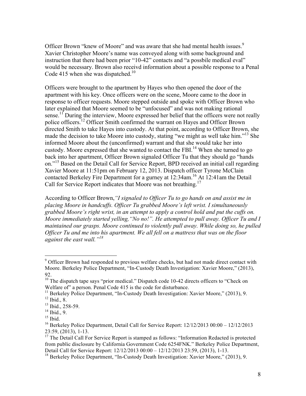Officer Brown "knew of Moore" and was aware that she had mental health issues.<sup>9</sup> Xavier Christopher Moore's name was conveyed along with some background and instruction that there had been prior "10-42" contacts and "a possbile medical eval" would be necessary. Brown also receivd information about a possible response to a Penal Code 415 when she was dispatched.<sup>10</sup>

Officers were brought to the apartment by Hayes who then opened the door of the apartment with his key. Once officers were on the scene, Moore came to the door in response to officer requests. Moore stepped outside and spoke with Officer Brown who later explained that Moore seemed to be "unfocused" and was not making rational sense.<sup>11</sup> During the interview, Moore expressed her belief that the officers were not really police officers.<sup>12</sup> Officer Smith confirmed the warrant on Hayes and Officer Brown directed Smith to take Hayes into custody. At that point, according to Officer Brown, she made the decision to take Moore into custody, stating "we might as well take him."<sup>13</sup> She informed Moore about the (unconfirmed) warrant and that she would take her into custody. Moore expressed that she wanted to contact the FBI.<sup>14</sup> When she turned to go back into her apartment, Officer Brown signaled Officer Tu that they should go "hands on."<sup>15</sup> Based on the Detail Call for Service Report, BPD received an initial call regarding Xavier Moore at 11:51pm on February 12, 2013. Dispatch officer Tyrone McClain contacted Berkeley Fire Department for a gurney at 12:34am.<sup>16</sup> At 12:41am the Detail Call for Service Report indicates that Moore was not breathing.<sup>17</sup>

According to Officer Brown,*"I signaled to Officer Tu to go hands on and assist me in placing Moore in handcuffs. Officer Tu grabbed Moore's left wrist. I simultaneously grabbed Moore's right wrist, in an attempt to apply a control hold and put the cuffs on. Moore immediately started yelling,"No no!". He attempted to pull away. Officer Tu and I maintained our grasps. Moore continued to violently pull away. While doing so, he pulled Officer Tu and me into his apartment. We all fell on a mattress that was on the floor against the east wall."<sup>18</sup>*

 $9^9$  Officer Brown had responded to previous welfare checks, but had not made direct contact with Moore. Berkeley Police Department, "In-Custody Death Investigation: Xavier Moore," (2013), 92.

<sup>&</sup>lt;sup>10</sup> The dispatch tape says "prior medical." Dispatch code 10-42 directs officers to "Check on Welfare of" a person. Penal Code 415 is the code for disturbance.

<sup>&</sup>lt;sup>11</sup> Berkeley Police Department, "In-Custody Death Investigation: Xavier Moore," (2013), 9.

 $12$  Ibid., 8.

<sup>&</sup>lt;sup>13</sup> Ibid., 258-59.

 $14$  Ibid., 9.

 $15$  Ibid.

<sup>&</sup>lt;sup>16</sup> Berkeley Police Department, Detail Call for Service Report: 12/12/2013 00:00 – 12/12/2013 23:59, (2013), 1-13.

 $17$  The Detail Call For Service Report is stamped as follows: "Information Redacted is protected from public disclosure by California Government Code 6254FNK." Berkeley Police Department, Detail Call for Service Report: 12/12/2013 00:00 – 12/12/2013 23:59, (2013), 1-13.

<sup>&</sup>lt;sup>18</sup> Berkeley Police Department, "In-Custody Death Investigation: Xavier Moore," (2013), 9.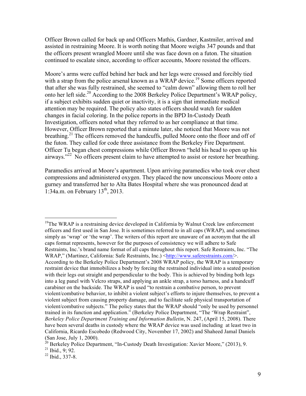Officer Brown called for back up and Officers Mathis, Gardner, Kastmiler, arrived and assisted in restraining Moore. It is worth noting that Moore weighs 347 pounds and that the officers present wrangled Moore until she was face down on a futon. The situation continued to escalate since, according to officer accounts, Moore resisted the officers.

Moore's arms were cuffed behind her back and her legs were crossed and forcibly tied with a strap from the police arsenal known as a WRAP device.<sup>19</sup> Some officers reported that after she was fully restrained, she seemed to "calm down" allowing them to roll her onto her left side.<sup>20</sup> According to the 2008 Berkeley Police Department's WRAP policy, if a subject exhibits sudden quiet or inactivity, it is a sign that immediate medical attention may be required. The policy also states officers should watch for sudden changes in facial coloring. In the police reports in the BPD In-Custody Death Investigation, officers noted what they referred to as her compliance at that time. However, Officer Brown reported that a minute later, she noticed that Moore was not breathing.<sup>21</sup> The officers removed the handcuffs, pulled Moore onto the floor and off of the futon. They called for code three assistance from the Berkeley Fire Department. Officer Tu began chest compressions while Officer Brown "held his head to open up his airways."<sup>22</sup> No officers present claim to have attempted to assist or restore her breathing.

Paramedics arrived at Moore's apartment. Upon arriving paramedics who took over chest compressions and administered oxygen. They placed the now unconscious Moore onto a gurney and transferred her to Alta Bates Hospital where she was pronounced dead at 1:34a.m. on February  $13<sup>th</sup>$ , 2013.

 $19$ The WRAP is a restraining device developed in California by Walnut Creek law enforcement officers and first used in San Jose. It is sometimes referred to in all caps (WRAP), and sometimes simply as 'wrap' or 'the wrap'. The writers of this report are unaware of an acronym that the all caps format represents, however for the purposes of consistency we will adhere to Safe Restraints, Inc.'s brand name format of all caps throughout this report. Safe Restraints, Inc. "The WRAP," (Martinez, California: Safe Restraints, Inc.) <http://www.saferestraints.com/>. According to the Berkeley Police Department's 2008 WRAP policy, the WRAP is a temporary restraint device that immobilizes a body by forcing the restrained individual into a seated position with their legs out straight and perpendicular to the body. This is achieved by binding both legs into a leg panel with Velcro straps, and applying an ankle strap, a torso harness, and a handcuff carabiner on the backside. The WRAP is used "to restrain a combative person, to prevent violent/combative behavior, to inhibit a violent subject's efforts to injure themselves, to prevent a violent subject from causing property damage, and to facilitate safe physical transportation of violent/combative subjects." The policy states that the WRAP should "only be used by personnel trained in its function and application." (Berkeley Police Department, "The 'Wrap Restraint", *Berkeley Police Department Training and Information Bulletin*, N. 247, (April 15, 2008). There have been several deaths in custody where the WRAP device was used including at least two in California, Ricardo Escobedo (Redwood City, November 17, 2002) and Shaheed Jamal Daniels (San Jose, July 1, 2000).

 $^{20}$  Berkeley Police Department, "In-Custody Death Investigation: Xavier Moore," (2013), 9.

 $21$  Ibid., 9; 92.

 $^{22}$  Ibid., 337-8.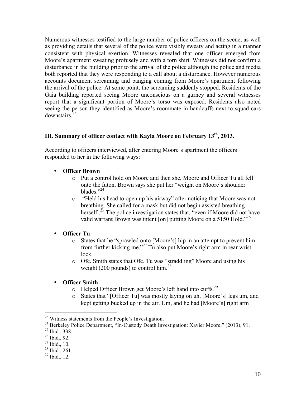Numerous witnesses testified to the large number of police officers on the scene, as well as providing details that several of the police were visibly sweaty and acting in a manner consistent with physical exertion. Witnesses revealed that one officer emerged from Moore's apartment sweating profusely and with a torn shirt. Witnesses did not confirm a disturbance in the building prior to the arrival of the police although the police and media both reported that they were responding to a call about a disturbance. However numerous accounts document screaming and banging coming from Moore's apartment following the arrival of the police. At some point, the screaming suddenly stopped. Residents of the Gaia building reported seeing Moore unconscious on a gurney and several witnesses report that a significant portion of Moore's torso was exposed. Residents also noted seeing the person they identified as Moore's roommate in handcuffs next to squad cars downstairs<sup>2</sup>

### **III. Summary of officer contact with Kayla Moore on February 13th, 2013.**

According to officers interviewed, after entering Moore's apartment the officers responded to her in the following ways:

- **Officer Brown**
	- o Put a control hold on Moore and then she, Moore and Officer Tu all fell onto the futon. Brown says she put her "weight on Moore's shoulder blades."<sup>24</sup>
	- o "Held his head to open up his airway" after noticing that Moore was not breathing. She called for a mask but did not begin assisted breathing herself.<sup> $25$ </sup> The police investigation states that, "even if Moore did not have valid warrant Brown was intent [on] putting Moore on a 5150 Hold."<sup>26</sup>
- **Officer Tu**
	- o States that he "sprawled onto [Moore's] hip in an attempt to prevent him from further kicking me." <sup>27</sup> Tu also put Moore's right arm in rear wrist lock.
	- o Ofc. Smith states that Ofc. Tu was "straddling" Moore and using his weight (200 pounds) to control him.<sup>28</sup>
- **Officer Smith**
	- o Helped Officer Brown get Moore's left hand into cuffs.<sup>29</sup>
	- o States that "[Officer Tu] was mostly laying on uh, [Moore's] legs um, and kept getting bucked up in the air. Um, and he had [Moore's] right arm

<sup>23</sup> Witness statements from the People's Investigation.

<sup>&</sup>lt;sup>24</sup> Berkeley Police Department, "In-Custody Death Investigation: Xavier Moore," (2013), 91.

<sup>25</sup> Ibid., 338.

 $26$  Ibid., 92.

 $27$  Ibid., 10.

 $28$  Ibid., 261.

 $^{29}$  Ibid., 12.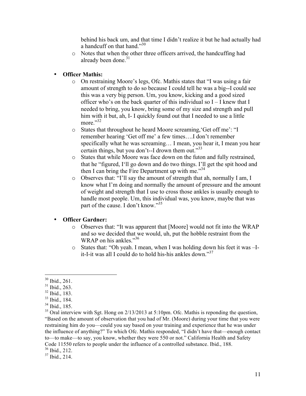behind his back um, and that time I didn't realize it but he had actually had a handcuff on that hand."30

- o Notes that when the other three officers arrived, the handcuffing had already been done.<sup>31</sup>
- **Officer Mathis:** 
	- o On restraining Moore's legs, Ofc. Mathis states that "I was using a fair amount of strength to do so because I could tell he was a big--I could see this was a very big person. Um, you know, kicking and a good sized officer who's on the back quarter of this individual so I – I knew that I needed to bring, you know, bring some of my size and strength and pull him with it but, ah, I- I quickly found out that I needed to use a little more."32
	- o States that throughout he heard Moore screaming,'Get off me': "I remember hearing 'Get off me' a few times….I don't remember specifically what he was screaming… I mean, you hear it, I mean you hear certain things, but you don't--I drown them out."33
	- o States that while Moore was face down on the futon and fully restrained, that he "figured, I'll go down and do two things. I'll get the spit hood and then I can bring the Fire Department up with me."34
	- o Observes that: "I'll say the amount of strength that ah, normally I am, I know what I'm doing and normally the amount of pressure and the amount of weight and strength that I use to cross those ankles is usually enough to handle most people. Um, this individual was, you know, maybe that was part of the cause. I don't know."<sup>35</sup>

### • **Officer Gardner:**

- o Observes that: "It was apparent that [Moore] would not fit into the WRAP and so we decided that we would, uh, put the hobble restraint from the WRAP on his ankles."36
- o States that: "Oh yeah. I mean, when I was holding down his feet it was –Iit-I-it was all I could do to hold his-his ankles down."<sup>37</sup>

<sup>36</sup> Ibid., 212.

<sup>30</sup> Ibid., 261.

<sup>31</sup> Ibid., 263.

<sup>32</sup> Ibid., 183.

<sup>33</sup> Ibid., 184.

 $34$  Ibid., 185.

 $35$  Oral interview with Sgt. Hong on 2/13/2013 at 5:10pm. Ofc. Mathis is reponding the question, "Based on the amount of observation that you had of Mr. (Moore) during your time that you were restraining him do you—could you say based on your training and experience that he was under the influence of anything?" To which Ofc. Mathis responded, "I didn't have that—enough contact to—to make—to say, you know, whether they were 550 or not." California Health and Safety Code 11550 refers to people under the influence of a controlled substance. Ibid., 188.

 $37$  Ibid., 214.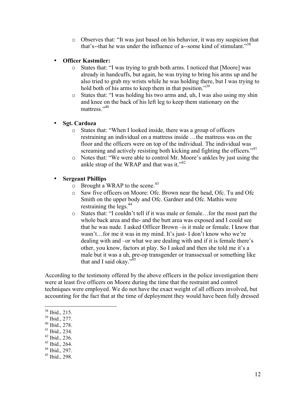o Observes that: "It was just based on his behavior, it was my suspicion that that's--that he was under the influence of a--some kind of stimulant."<sup>38</sup>

### • **Officer Kastmiler:**

- o States that: "I was trying to grab both arms. I noticed that [Moore] was already in handcuffs, but again, he was trying to bring his arms up and he also tried to grab my wrists while he was holding there, but I was trying to hold both of his arms to keep them in that position."<sup>39</sup>
- o States that: "I was holding his two arms and, uh, I was also using my shin and knee on the back of his left leg to keep them stationary on the mattress."<sup>40</sup>

#### • **Sgt. Cardoza**

- o States that: "When I looked inside, there was a group of officers restraining an individual on a mattress inside …the mattress was on the floor and the officers were on top of the individual. The individual was screaming and actively resisting both kicking and fighting the officers."<sup>41</sup>
- o Notes that: "We were able to control Mr. Moore's ankles by just using the ankle strap of the WRAP and that was it." $42$

#### • **Sergeant Phillips**

- $\circ$  Brought a WRAP to the scene.<sup>43</sup>
- o Saw five officers on Moore: Ofc. Brown near the head, Ofc. Tu and Ofc Smith on the upper body and Ofc. Gardner and Ofc. Mathis were restraining the legs. 44
- o States that: "I couldn't tell if it was male or female…for the most part the whole back area and the- and the butt area was exposed and I could see that he was nude. I asked Officer Brown –is it male or female. I know that wasn't…for me it was in my mind. It's just- I don't know who we're dealing with and –or what we are dealing with and if it is female there's other, you know, factors at play. So I asked and then she told me it's a male but it was a uh, pre-op transgender or transsexual or something like that and I said okay." $45$

According to the testimony offered by the above officers in the police investigation there were at least five officers on Moore during the time that the restraint and control techniques were employed. We do not have the exact weight of all officers involved, but accounting for the fact that at the time of deployment they would have been fully dressed

- <sup>40</sup> Ibid., 278.
- $41$  Ibid., 234.
- $42$  Ibid., 236.
- <sup>43</sup> Ibid., 264.
- <sup>44</sup> Ibid., 297.
- $45$  Ibid., 298.

<sup>38</sup> Ibid., 215.

<sup>39</sup> Ibid., 277.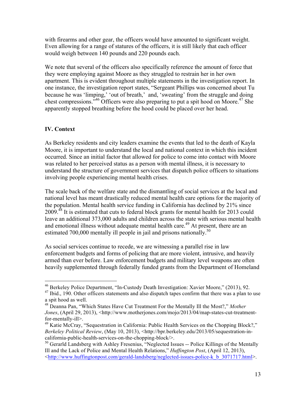with firearms and other gear, the officers would have amounted to significant weight. Even allowing for a range of statures of the officers, it is still likely that each officer would weigh between 140 pounds and 220 pounds each.

We note that several of the officers also specifically reference the amount of force that they were employing against Moore as they struggled to restrain her in her own apartment. This is evident throughout multiple statements in the investigation report. In one instance, the investigation report states, "Sergeant Phillips was concerned about Tu because he was 'limping,' 'out of breath,' and, 'sweating' from the struggle and doing chest compressions.<sup>346</sup> Officers were also preparing to put a spit hood on Moore.<sup>47</sup> She apparently stopped breathing before the hood could be placed over her head.

### **IV. Context**

As Berkeley residents and city leaders examine the events that led to the death of Kayla Moore, it is important to understand the local and national context in which this incident occurred. Since an initial factor that allowed for police to come into contact with Moore was related to her perceived status as a person with mental illness, it is necessary to understand the structure of government services that dispatch police officers to situations involving people experiencing mental health crises.

The scale back of the welfare state and the dismantling of social services at the local and national level has meant drastically reduced mental health care options for the majority of the population. Mental health service funding in California has declined by 21% since 2009.<sup>48</sup> It is estimated that cuts to federal block grants for mental health for 2013 could leave an additional 373,000 adults and children across the state with serious mental health and emotional illness without adequate mental health care.<sup>49</sup> At present, there are an estimated 700,000 mentally ill people in jail and prisons nationally.<sup>50</sup>

As social services continue to recede, we are witnessing a parallel rise in law enforcement budgets and forms of policing that are more violent, intrusive, and heavily armed than ever before. Law enforcement budgets and military level weapons are often heavily supplemented through federally funded grants from the Department of Homeland

<sup>46</sup> Berkeley Police Department, "In-Custody Death Investigation: Xavier Moore," (2013), 92.

 $47$  Ibid., 190. Other officers statements and also dispatch tapes confirm that there was a plan to use a spit hood as well.

<sup>48</sup> Deanna Pan, "Which States Have Cut Treatment For the Mentally Ill the Most?," *Mother Jones*, (April 29, 2013), <http://www.motherjones.com/mojo/2013/04/map-states-cut-treatmentfor-mentally-ill>.

<sup>&</sup>lt;sup>49</sup> Katie McCray, "Sequestration in California: Public Health Services on the Chopping Block?," *Berkeley Political Review*, (May 10, 2013), <http://bpr.berkeley.edu/2013/05/sequestration-incalifornia-public-health-services-on-the-chopping-block/>.

<sup>&</sup>lt;sup>50</sup> Gerarld Landsberg with Ashley Fresenius, "Neglected Issues -- Police Killings of the Mentally Ill and the Lack of Police and Mental Health Relations," *Huffington Post*, (April 12, 2013),  $\text{64}$  -thttp://www.huffingtonpost.com/gerald-landsberg/neglected-issues-police-k b 3071717.html>.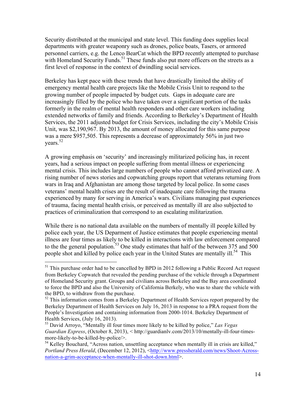Security distributed at the municipal and state level. This funding does supplies local departments with greater weaponry such as drones, police boats, Tasers, or armored personnel carriers, e.g. the Lenco BearCat which the BPD recently attempted to purchase with Homeland Security Funds.<sup>51</sup> These funds also put more officers on the streets as a first level of response in the context of dwindling social services.

Berkeley has kept pace with these trends that have drastically limited the ability of emergency mental health care projects like the Mobile Crisis Unit to respond to the growing number of people impacted by budget cuts. Gaps in adequate care are increasingly filled by the police who have taken over a significant portion of the tasks formerly in the realm of mental health responders and other care workers including extended networks of family and friends. According to Berkeley's Department of Health Services, the 2011 adjusted budget for Crisis Services, including the city's Mobile Crisis Unit, was \$2,190,967. By 2013, the amount of money allocated for this same purpose was a mere \$957,505. This represents a decrease of approximately 56% in just two vears. $52$ 

A growing emphasis on 'security' and increasingly militarized policing has, in recent years, had a serious impact on people suffering from mental illness or experiencing mental crisis. This includes large numbers of people who cannot afford privatized care. A rising number of news stories and copwatching groups report that veterans returning from wars in Iraq and Afghanistan are among those targeted by local police. In some cases veterans' mental health crises are the result of inadequate care following the trauma experienced by many for serving in America's wars. Civilians managing past experiences of trauma, facing mental health crisis, or perceived as mentally ill are also subjected to practices of criminalization that correspond to an escalating militarization.

While there is no national data available on the numbers of mentally ill people killed by police each year, the US Deparment of Justice estimates that people experiencing mental illness are four times as likely to be killed in interactions with law enforcement compared to the the general population.<sup>53</sup> One study estimates that half of the between 375 and 500 people shot and killed by police each year in the United States are mentally ill.<sup>54</sup> This

 $51$  This purchase order had to be cancelled by BPD in 2012 following a Public Record Act request from Berkeley Copwatch that revealed the pending purchase of the vehicle through a Department of Homeland Security grant. Groups and civilians across Berkeley and the Bay area coordinated to force the BPD and also the University of California Berkely, who was to share the vehicle with the BPD, to withdraw from the purchase.

<sup>&</sup>lt;sup>52</sup> This information comes from a Berkeley Department of Health Services report prepared by the Berkeley Department of Health Services on July 16, 2013 in response to a PRA request from the People's Investigation and containing information from 2000-1014. Berkeley Department of Health Services, (July 16, 2013).

<sup>53</sup> David Arroyo, "Mentally ill four times more likely to be killed by police," *Las Vegas Guardian Express*, (October 8, 2013), < http://guardianlv.com/2013/10/mentally-ill-four-timesmore-likely-to-be-killed-by-police/>.

<sup>&</sup>lt;sup>54</sup> Kelley Bouchard, "Across nation, unsettling acceptance when mentally ill in crisis are killed," Portland Press Herald, (December 12, 2012), <http://www.pressherald.com/news/Shoot-Acrossnation-a-grim-acceptance-when-mentally-ill-shot-down.html>.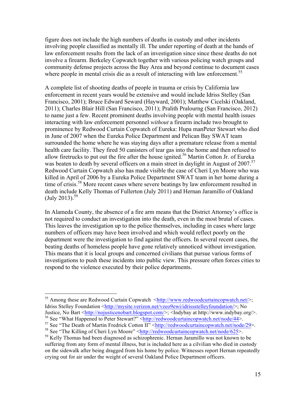figure does not include the high numbers of deaths in custody and other incidents involving people classified as mentally ill. The under reporting of death at the hands of law enforcement results from the lack of an investigation since since these deaths do not involve a firearm. Berkeley Copwatch together with various policing watch groups and community defense projects across the Bay Area and beyond continue to document cases where people in mental crisis die as a result of interacting with law enforcement.<sup>55</sup>

A complete list of shooting deaths of people in trauma or crisis by California law enforcement in recent years would be extensive and would include Idriss Stelley (San Francisco, 2001); Bruce Edward Seward (Hayward, 2001); Matthew Cicelski (Oakland, 2011); Charles Blair Hill (San Francisco, 2011); Pralith Pralourng (San Francisco, 2012) to name just a few. Recent prominent deaths involving people with mental health issues interacting with law enforcement personnel *without* a firearm include two brought to prominence by Redwood Curtain Copwatch of Eureka: Hupa manPeter Stewart who died in June of 2007 when the Eureka Police Department and Pelican Bay SWAT team surrounded the home where he was staying days after a premature release from a mental health care facility. They fired 50 canisters of tear gas into the home and then refused to allow firetrucks to put out the fire after the house ignited. <sup>56</sup> Martin Cotton Jr. of Eureka was beaten to death by several officers on a main street in daylight in August of 2007.<sup>57</sup> Redwood Curtain Copwatch also has made visible the case of Cheri Lyn Moore who was killed in April of 2006 by a Eureka Police Department SWAT team in her home during a time of crisis.<sup>58</sup> More recent cases where severe beatings by law enforcement resulted in death include Kelly Thomas of Fullerton (July 2011) and Hernan Jaramillo of Oakland  $\rm (July\ 2013).^{59}$ 

In Alameda County, the absence of a fire arm means that the District Attorney's office is not required to conduct an investigation into the death, even in the most brutal of cases. This leaves the investigation up to the police themselves, including in cases where large numbers of officers may have been involved and which would reflect poorly on the department were the investigation to find against the officers. In several recent cases, the beating deaths of homeless people have gone relatively unnoticed without investigation. This means that it is local groups and concerned civilians that pursue various forms of investigations to push these incidents into public view. This pressure often forces cities to respond to the violence executed by their police departments.

<sup>&</sup>lt;sup>55</sup> Among these are Redwood Curtain Copwatch  $\langle \frac{http://www.redwoodcutaincopwatch.net/}{$ ; Idriss Stelley Foundation <http://mysite.verizon.net/vzeo9ewi/idrissstelleyfoundation/>; No Justice, No Bart <http://nojusticenobart.blogspot.com/>; <Indybay at http://www.indybay.org/>.

<sup>56</sup> See "What Happened to Peter Stewart?" <http://redwoodcurtaincopwatch.net/node/44>.

<sup>&</sup>lt;sup>57</sup> See "The Death of Martin Fredrick Cotton II" <http://redwoodcurtaincopwatch.net/node/29>.

<sup>&</sup>lt;sup>58</sup> See "The Killing of Cheri Lyn Moore" <http://redwoodcurtaincopwatch.net/node/625>.

<sup>&</sup>lt;sup>59</sup> Kelly Thomas had been diagnosed as schizophrenic. Hernan Jaramillo was not known to be suffering from any form of mental illness, but is included here as a cilvilian who died in custody on the sidewalk after being dragged from his home by police. Witnesses report Hernan repeatedly crying out for air under the weight of several Oakland Police Department officers.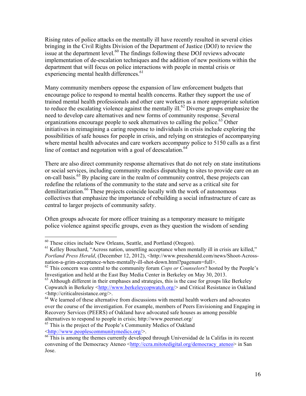Rising rates of police attacks on the mentally ill have recently resulted in several cities bringing in the Civil Rights Division of the Department of Justice (DOJ) to review the issue at the department level.<sup>60</sup> The findings following these DOJ reviews advocate implementation of de-escalation techniques and the addition of new positions within the department that will focus on police interactions with people in mental crisis or experiencing mental health differences.<sup>61</sup>

Many community members oppose the expansion of law enforcement budgets that encourage police to respond to mental health concerns. Rather they support the use of trained mental health professionals and other care workers as a more appropriate solution to reduce the escalating violence against the mentally ill.<sup>62</sup> Diverse groups emphasize the need to develop care alternatives and new forms of community response. Several organizations encourage people to seek alternatives to calling the police.<sup>63</sup> Other initiatives in reimagining a caring response to individuals in crisis include exploring the possibilities of safe houses for people in crisis, and relying on strategies of accompanying where mental health advocates and care workers accompany police to 5150 calls as a first line of contact and negotation with a goal of deescalation. $64$ 

There are also direct community response alternatives that do not rely on state institutions or social services, including community medics dispatching to sites to provide care on an on-call basis.<sup>65</sup> By placing care in the realm of community control, these projects can redefine the relations of the community to the state and serve as a critical site for demilitarization.<sup>66</sup> These projects coincide locally with the work of autonomous collectives that emphasize the importance of rebuilding a social infrastructure of care as central to larger projects of community safety.

Often groups advocate for more officer training as a temporary measure to mitigate police violence against specific groups, even as they question the wisdom of sending

<sup>65</sup> This is the project of the People's Community Medics of Oakland <http://www.peoplescommunitymedics.org/>.

 $60$  These cities include New Orleans, Seattle, and Portland (Oregon).

<sup>&</sup>lt;sup>61</sup> Kelley Bouchard, "Across nation, unsettling acceptance when mentally ill in crisis are killed," *Portland Press Herald*, (December 12, 2012), <http://www.pressherald.com/news/Shoot-Acrossnation-a-grim-acceptance-when-mentally-ill-shot-down.html?pagenum=full>.

<sup>62</sup> This concern was central to the community forum *Cops or Counselors*? hosted by the People's Investigation and held at the East Bay Media Center in Berkeley on May 30, 2013.

 $63$  Although different in their emphases and strategies, this is the case for groups like Berkeley Copwatch in Berkeley <http://www.berkeleycopwatch.org/> and Critical Resistance in Oakland <http://criticalresistance.org/>.

 $64$  We learned of these alternative from discussions with mental health workers and advocates over the course of the investigation. For example, members of Peers Envisioning and Engaging in Recovery Services (PEERS) of Oakland have advocated safe houses as among possible alternatives to respond to people in crisis; http://www.peersnet.org/

<sup>&</sup>lt;sup>66</sup> This is among the themes currently developed through Universidad de la Califas in its recent convening of the Democracy Ateneo <http://ccra.mitotedigital.org/democracy\_ateneo> in San Jose.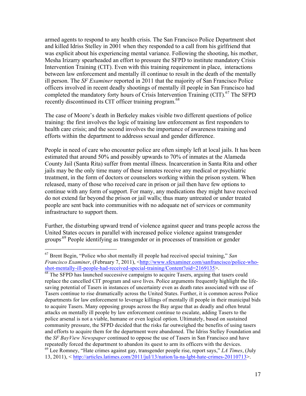armed agents to respond to any health crisis. The San Francisco Police Department shot and killed Idriss Stelley in 2001 when they responded to a call from his girlfriend that was explicit about his experiencing mental variance. Following the shooting, his mother, Mesha Irizarry spearheaded an effort to pressure the SFPD to institute mandatory Crisis Intervention Training (CIT). Even with this training requirement in place, interactions between law enforcement and mentally ill continue to result in the death of the mentally ill person. The *SF Examiner* reported in 2011 that the majority of San Francisco Police officers involved in recent deadly shootings of mentally ill people in San Francisco had completed the mandatory forty hours of Crisis Intervention Training  $\left( \text{CIT} \right)^{67}$  The SFPD recently discontinued its CIT officer training program.<sup>68</sup>

The case of Moore's death in Berkeley makes visible two different questions of police training: the first involves the logic of training law enforcement as first responders to health care crisis; and the second involves the importance of awareness training and efforts within the department to addresss sexual and gender difference.

People in need of care who encounter police are often simply left at local jails. It has been estimated that around 50% and possibly upwards to 70% of inmates at the Alameda County Jail (Santa Rita) suffer from mental illness. Incarceration in Santa Rita and other jails may be the only time many of these inmates receive any medical or psychiatric treatment, in the form of doctors or counselors working within the prison system. When released, many of those who received care in prison or jail then have few options to continue with any form of support. For many, any medications they might have received do not extend far beyond the prison or jail walls; thus many untreated or under treated people are sent back into communities with no adequate net of services or community infrastructure to support them.

Further, the disturbing upward trend of violence against queer and trans people across the United States occurs in parallel with increased police violence against transgender groups<sup>.69</sup> People identifying as transgender or in processes of transition or gender

<sup>67</sup> Brent Begin, "Police who shot mentally ill people had received special training," *San Francisco Examiner*, (February 7, 2011), <http://www.sfexaminer.com/sanfrancisco/police-whoshot-mentally-ill-people-had-received-special-training/Content?oid=2169135>.

 $\overline{68}$  The SFPD has launched successive campaigns to acquire Tasers, arguing that tasers could replace the cancelled CIT program and save lives. Police arguments frequently highlight the lifesaving potential of Tasers in instances of uncertainty even as death rates associated with use of Tasers continue to rise dramatically across the United States. Further, it is common across Police departments for law enforcement to leverage killings of mentally ill people in their municipal bids to acquire Tasers. Many opposing groups across the Bay argue that as deadly and often brutal attacks on mentally ill people by law enforcement continue to escalate, adding Tasers to the police arsenal is not a viable, humane or even logical option. Ultimately, based on sustained community pressure, the SFPD decided that the risks far outweighed the benefits of using tasers and efforts to acquire them for the department were abandoned. The Idriss Stelley Foundation and the *SF BayView Newspaper* continued to oppose the use of Tasers in San Francisco and have repeatedly forced the department to abandon its quest to arm its officers with the devices.

<sup>69</sup> Lee Romney, "Hate crimes against gay, transgender people rise, report says," *LA Times*, (July 13, 2011), < http://articles.latimes.com/2011/jul/13/nation/la-na-lgbt-hate-crimes-20110713>.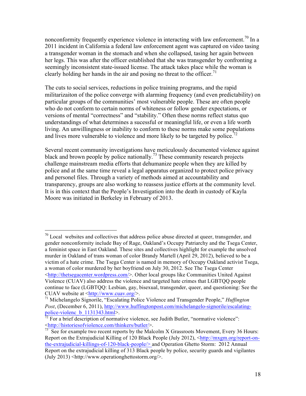nonconformity frequently experience violence in interacting with law enforcement.<sup>70</sup> In a 2011 incident in California a federal law enforcement agent was captured on video tasing a transgender woman in the stomach and when she collapsed, tasing her again between her legs. This was after the officer established that she was transgender by confronting a seemingly inconsistent state-issued license. The attack takes place while the woman is clearly holding her hands in the air and posing no threat to the officer.<sup>71</sup>

The cuts to social services, reductions in police training programs, and the rapid militarizaiton of the police converge with alarming frequency (and even predictability) on particular groups of the communities' most vulnerable people. These are often people who do not conform to certain norms of whiteness or follow gender expectations, or versions of mental "correctness" and "stability." Often these norms reflect status quo understandings of what determines a sucessful or meaningful life, or even a life worth living. An unwillingness or inability to conform to these norms make some populations and lives more vulnerable to violence and more likely to be targeted by police.<sup>72</sup>

Several recent community investigations have meticulously documented violence against black and brown people by police nationally.<sup>73</sup> These community research projects challenge mainstream media efforts that dehumanize people when they are killed by police and at the same time reveal a legal apparatus organized to protect police privacy and personel files. Through a variety of methods aimed at accountability and transparency, groups are also working to reassess justice efforts at the community level. It is in this context that the People's Investigation into the death in custody of Kayla Moore was initiated in Berkeley in February of 2013.

 $70$  Local websites and collectives that address police abuse directed at queer, transgender, and gender nonconformity include Bay of Rage, Oakland's Occupy Patriarchy and the Tsega Center, a feminist space in East Oakland. These sites and collectives highlight for example the unsolved murder in Oakland of trans woman of color Brandy Martell (April 29, 2012), believed to be a victim of a hate crime. The Tsega Center is named in memory of Occupy Oakland activist Tsega, a woman of color murdered by her boyfriend on July 30, 2012. See The Tsega Center <http://thetsegacenter.wordpress.com/>. Other local groups like Communities United Against Violence (CUAV) also address the violence and targeted hate crimes that LGBTQQ people continue to face (LGBTQQ: Lesbian, gay, bisexual, transgender, queer, and questioning: See the CUAV website at <http://www.cuav.org/>.

<sup>71</sup> Michelangelo Signorile, "Escalating Police Violence and Transgender People," *Huffington Post*, (December 6, 2011), http://www.huffingtonpost.com/michelangelo-signorile/escalatingpolice-violenc\_b\_1131343.html>.

 $72$  For a brief description of normative violence, see Judith Butler, "normative violence": <http://historiesofviolence.com/thinkers/butler/>.

 $73$  See for example two recent reports by the Malcolm X Grassroots Movement, Every 36 Hours: Report on the Extrajudicial Killing of 120 Black People (July 2012), <http://mxgm.org/report-onthe-extrajudicial-killings-of-120-black-people/> and Operation Ghetto Storm: 2012 Annual Report on the extrajudicial killing of 313 Black people by police, security guards and vigilantes (July 2013) <http://www.operationghettostorm.org/>.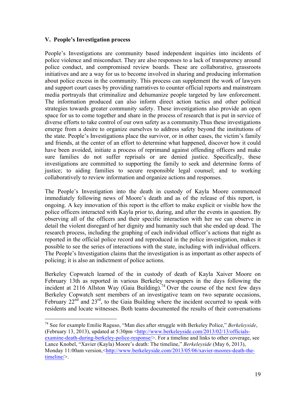#### **V. People's Investigation process**

People's Investigations are community based independent inquiries into incidents of police violence and misconduct. They are also responses to a lack of transparency around police conduct, and compromised review boards. These are collaborative, grassroots initiatives and are a way for us to become involved in sharing and producing information about police excess in the community. This process can supplement the work of lawyers and support court cases by providing narratives to counter official reports and mainstream media portrayals that criminalize and dehumanize people targeted by law enforcement. The information produced can also inform direct action tactics and other political strategies towards greater community safety. These investigations also provide an open space for us to come together and share in the process of research that is put in service of diverse efforts to take control of our own safety as a community.Thus these investigations emerge from a desire to organize ourselves to address safety beyond the institutions of the state. People's Investigations place the survivor, or in other cases, the victim's family and friends, at the center of an effort to determine what happened, discover how it could have been avoided, initiate a process of reprimand against offending officers and make sure families do not suffer reprisals or are denied justice. Specifically, these investigations are committed to supporting the family to seek and determine forms of justice; to aiding families to secure responsible legal counsel; and to working collaboratively to review information and organize actions and responses.

The People's Investigation into the death in custody of Kayla Moore commenced immediately following news of Moore's death and as of the release of this report, is ongoing. A key innovation of this report is the effort to make explicit or visible how the police officers interacted with Kayla prior to, during, and after the events in question. By observing all of the officers and their specific interaction with her we can observe in detail the violent disregard of her dignity and humanity such that she ended up dead. The research process, including the graphing of each individual officer's actions that night as reported in the official police record and reproduced in the police investigation, makes it possible to see the series of interactions with the state, including with individual officers. The People's Investigation claims that the investigation is as important as other aspects of policing; it is also an indictment of police actions.

Berkeley Copwatch learned of the in custody of death of Kayla Xaiver Moore on February 13th as reported in various Berkeley newspapers in the days following the incident at 2116 Allston Way (Gaia Building). <sup>74</sup> Over the course of the next few days Berkeley Copwatch sent members of an investigative team on two separate occasions, February  $22^{nd}$  and  $23^{rd}$ , to the Gaia Building where the incident occurred to speak with residents and locate witnesses. Both teams documented the results of their conversations

<sup>74</sup> See for example Emilie Raguso, "Man dies after struggle with Berkeley Police," *Berkeleyside*, (February 13, 2013), updated at 5:30pm <http://www.berkeleyside.com/2013/02/13/officialsexamine-death-during-berkeley-police-response/>. For a timeline and links to other coverage, see Lance Knobel, "Xavier (Kayla) Moore's death: The timeline," *Berkeleyside* (May 6, 2013), Monday 11:00am version,<http://www.berkeleyside.com/2013/05/06/xavier-moores-death-thetimeline/>.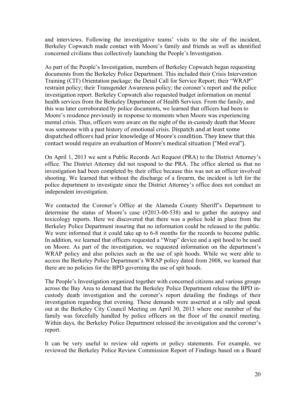and interviews. Following the investigative teams' visits to the site of the incident, Berkeley Copwatch made contact with Moore's family and friends as well as identified concerned civilians thus collectively launching the People's Investigation.

As part of the People's Investigation, members of Berkeley Copwatch began requesting documents from the Berkeley Police Department. This included their Crisis Intervention Training (CIT) Orientation package; the Detail Call for Service Report; their "WRAP" restraint policy; their Transgender Awareness policy; the coroner's report and the police investigation report. Berkeley Copwatch also requested budget information on mental health services from the Berkeley Department of Health Services. From the family, and this was later corroborated by police documents, we learned that officers had been to Moore's residence previously in response to moments when Moore was experiencing mental crisis. Thus, officers were aware on the night of the in-custody death that Moore was someone with a past history of emotional crisis. Dispatch and at least some dispatched officers had prior knowledge of Moore's condition. They knew that this contact would require an evaluation of Moore's medical situation ("Med eval").

On April 1, 2013 we sent a Public Records Act Request (PRA) to the District Attorney's office. The District Attorney did not respond to the PRA. The office alerted us that no investigation had been completed by their office because this was not an officer involved shooting. We learned that without the discharge of a firearm, the incident is left for the police department to investigate since the District Attorney's office does not conduct an independent investigation.

We contacted the Coroner's Office at the Alameda County Sheriff's Department to determine the status of Moore's case (#2013-00-538) and to gather the autopsy and toxicology reports. Here we discovered that there was a police hold in place from the Berkeley Police Department insuring that no information could be released to the public. We were informed that it could take up to 6-8 months for the records to become public. In addition, we learned that officers requested a "Wrap" device and a spit hood to be used on Moore. As part of the investigation, we requested information on the department's WRAP policy and also policies such as the use of spit hoods. While we were able to access the Berkeley Police Department's WRAP policy dated from 2008, we learned that there are no policies for the BPD governing the use of spit hoods.

The People's Investigation organized together with concerned citizens and various groups across the Bay Area to demand that the Berkeley Police Department release the BPD incustody death investigation and the coroner's report detailing the findings of their investigation regarding that evening. These demands were asserted at a rally and speak out at the Berkeley City Council Meeting on April 30, 2013 where one member of the family was forcefully handled by police officers on the floor of the council meeting. Within days, the Berkeley Police Department released the investigation and the coroner's report.

It can be very useful to review old reports or policy statements. For example, we reviewed the Berkeley Police Review Commission Report of Findings based on a Board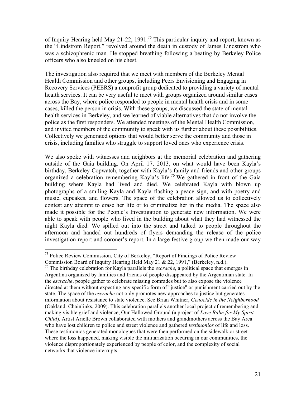of Inquiry Hearing held May 21-22, 1991.<sup>75</sup> This particular inquiry and report, known as the "Lindstrom Report," revolved around the death in custody of James Lindstrom who was a schizophrenic man. He stopped breathing following a beating by Berkeley Police officers who also kneeled on his chest.

The investigation also required that we meet with members of the Berkeley Mental Health Commission and other groups, including Peers Envisioning and Engaging in Recovery Services (PEERS) a nonprofit group dedicated to providing a variety of mental health services. It can be very useful to meet with groups organized around similar cases across the Bay, where police responded to people in mental health crisis and in some cases, killed the person in crisis. With these groups, we discussed the state of mental health services in Berkeley, and we learned of viable alternatives that do not involve the police as the first responders. We attended meetings of the Mental Health Commission, and invited members of the community to speak with us further about these possibilities. Collectively we generated options that would better serve the community and those in crisis, including families who struggle to support loved ones who experience crisis.

We also spoke with witnesses and neighbors at the memorial celebration and gathering outside of the Gaia building. On April 17, 2013, on what would have been Kayla's birthday, Berkeley Copwatch, together with Kayla's family and friends and other groups organized a celebration remembering Kayla's life. <sup>76</sup> We gathered in front of the Gaia building where Kayla had lived and died. We celebrated Kayla with blown up photographs of a smiling Kayla and Kayla flashing a peace sign, and with poetry and music, cupcakes, and flowers. The space of the celebration allowed us to collectively contest any attempt to erase her life or to criminalize her in the media. The space also made it possible for the People's Investigation to generate new information. We were able to speak with people who lived in the building about what they had witnessed the night Kayla died. We spilled out into the street and talked to people throughout the afternoon and handed out hundreds of flyers demanding the release of the police investigation report and coroner's report. In a large festive group we then made our way

<sup>75</sup> Police Review Commission, City of Berkeley, "Report of Findings of Police Review Commission Board of Inquiry Hearing Held May 21 & 22, 1991," (Berkeley, n.d.).

<sup>76</sup> The birthday celebration for Kayla parallels the *escrache*, a political space that emerges in Argentina organized by families and friends of people disappeared by the Argentinian state. In the *escrache*, people gather to celebrate missing comrades but to also expose the violence directed at them without expecting any specific form of "justice" or punishment carried out by the state. The space of the *escrache* not only promotes new approaches to justice but generates information about resistance to state violence. See Brian Whitner, *Genocide in the Neighborhood* (Oakland: Chainlinks, 2009). This celebration parallels another local project of remembering and making visible grief and violence, Our Hallowed Ground (a project of *Love Balm for My Spirit Child*). Artist Arielle Brown collaborated with mothers and grandmothers across the Bay Area who have lost children to police and street violence and gathered *testimonios* of life and loss. These testimonios generated monologues that were then performed on the sidewalk or street where the loss happened, making visible the militarization occuring in our communities, the violence disproportionately experienced by people of color, and the complexity of social networks that violence interrupts.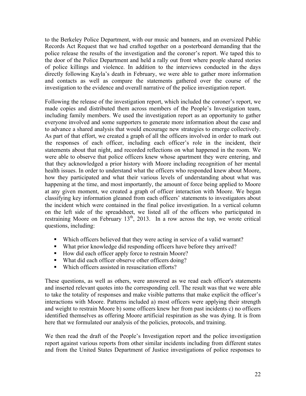to the Berkeley Police Department, with our music and banners, and an oversized Public Records Act Request that we had crafted together on a posterboard demanding that the police release the results of the investigation and the coroner's report. We taped this to the door of the Police Department and held a rally out front where people shared stories of police killings and violence. In addition to the interviews conducted in the days directly following Kayla's death in February, we were able to gather more information and contacts as well as compare the statements gathered over the course of the investigation to the evidence and overall narrative of the police investigation report.

Following the release of the investigation report, which included the coroner's report, we made copies and distributed them across members of the People's Investigation team, including family members. We used the investigation report as an opportunity to gather everyone involved and some supporters to generate more information about the case and to advance a shared analysis that would encourage new strategies to emerge collectively. As part of that effort, we created a graph of all the officers involved in order to mark out the responses of each officer, including each officer's role in the incident, their statements about that night, and recorded reflections on what happened in the room. We were able to observe that police officers knew whose apartment they were entering, and that they acknowledged a prior history with Moore including recognition of her mental health issues. In order to understand what the officers who responded knew about Moore, how they participated and what their various levels of understanding about what was happening at the time, and most importantly, the amount of force being applied to Moore at any given moment, we created a graph of officer interaction with Moore. We began classifying key information gleaned from each officers' statements to investigators about the incident which were contained in the final police investigation. In a vertical column on the left side of the spreadsheet, we listed all of the officers who participated in restraining Moore on February  $13<sup>th</sup>$ , 2013. In a row across the top, we wrote critical questions, including:

- Which officers believed that they were acting in service of a valid warrant?
- What prior knowledge did responding officers have before they arrived?
- How did each officer apply force to restrain Moore?
- What did each officer observe other officers doing?
- Which officers assisted in resuscitation efforts?

These questions, as well as others, were answered as we read each officer's statements and inserted relevant quotes into the corresponding cell. The result was that we were able to take the totality of responses and make visible patterns that make explicit the officer's interactions with Moore. Patterns included a) most officers were applying their strength and weight to restrain Moore b) some officers knew her from past incidents c) no officers identified themselves as offering Moore artificial respiration as she was dying. It is from here that we formulated our analysis of the policies, protocols, and training.

We then read the draft of the People's Investigation report and the police investigation report against various reports from other similar incidents including from different states and from the United States Department of Justice investigations of police responses to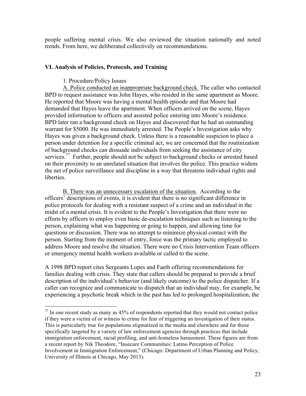people suffering mental crisis. We also reviewed the situation nationally and noted trends. From here, we deliberated collectively on recommendations.

#### **VI. Analysis of Policies, Protocols, and Training**

#### 1. Procedure/Policy Issues

A. Police conducted an inappropriate background check. The caller who contacted BPD to request assistance was John Hayes, who resided in the same apartment as Moore. He reported that Moore was having a mental health episode and that Moore had demanded that Hayes leave the apartment. When officers arrived on the scene, Hayes provided information to officers and assisted police entering into Moore's residence. BPD later ran a background check on Hayes and discovered that he had an outstanding warrant for \$5000. He was immediately arrested. The People's Investigation asks why Hayes was given a background check. Unless there is a reasonable suspicion to place a person under detention for a specific criminal act, we are concerned that the routinization of background checks can dissuade individuals from seeking the assistance of city services.<sup>77</sup> Further, people should not be subject to background checks or arrested based on their proximity to an unrelated situation that involves the police. This practice widens the net of police surveillance and discipline in a way that threatens individual rights and liberties.

B. There was an unnecessary escalation of the situation. According to the officers' descriptions of events, it is evident that there is no significant difference in police protocols for dealing with a resistant suspect of a crime and an individual in the midst of a mental crisis. It is evident to the People's Investigation that there were no efforts by officers to employ even basic de-escalation techniques such as listening to the person, explaining what was happening or going to happen, and allowing time for questions or discussion. There was no attempt to minimize physical contact with the person. Starting from the moment of entry, force was the primary tactic employed to address Moore and resolve the situation. There were no Crisis Intervention Team officers or emergency mental health workers available or called to the scene.

A 1998 BPD report cites Sergeants Lopes and Faeth offering recommendations for families dealing with crisis. They state that callers should be prepared to provide a brief description of the individual's behavior (and likely outcome) to the police dispatcher. If a caller can recognize and communicate to dispatch that an individual may, for example, be experiencing a psychotic break which in the past has led to prolonged hospitalization, the

 $^{77}$  In one recent study as many as 45% of respondents reported that they would not contact police if they were a victim of or witness to crime for fear of triggering an investigation of their status. This is particularly true for populations stigmatized in the media and elsewhere and for those specifically targeted by a variety of law enforcement agencies through practices that include immigration enforcement, racial profiling, and anti-homeless harassment. These figures are from a recent report by Nik Theodore, "Insecure Communities: Latino Perception of Police Involvement in Immigration Enforcement," (Chicago: Department of Urban Planning and Policy, University of Illinois at Chicago, May 2013).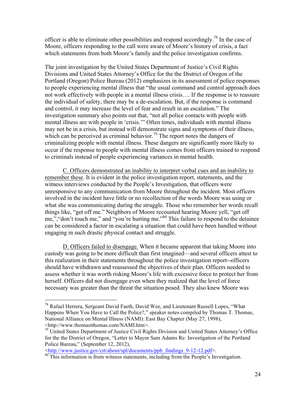officer is able to eliminate other possibilities and respond accordingly.<sup>78</sup> In the case of Moore, officers responding to the call were aware of Moore's history of crisis, a fact which statements from both Moore's family and the police investigation confirms.

The joint investigation by the United States Department of Justice's Civil Rights Divisions and United States Attorney's Office for the the District of Oregon of the Portland (Oregon) Police Bureau (2012) emphasizes in its assessment of police responses to people experiencing mental illness that "the usual command and control approach does not work effectively with people in a mental illness crisis…. If the response is to reassure the individual of safety, there may be a de-escalation. But, if the response is command and control, it may increase the level of fear and result in an escalation." The investigation summary also points out that, "not all police contacts with people with mental illness are with people in 'crisis.'" Often times, individuals with mental illness may not be in a crisis, but instead will demonstrate signs and symptoms of their illness, which can be perceived as criminal behavior.<sup>79</sup> The report notes the dangers of criminalizing people with mental illness. These dangers are significantly more likely to occur if the response to people with mental illness comes from officers trained to respond to criminals instead of people experiencing variances in mental health.

C. Officers demonstrated an inability to interpret verbal cues and an inability to remember these. It is evident in the police investigation report, statements, and the witness interviews conducted by the People's Investigation, that officers were unresponsive to any communication from Moore throughout the incident. Most officers involved in the incident have little or no recollection of the words Moore was using or what she was communicating during the struggle. Those who remember her words recall things like, "get off me." Neighbors of Moore recounted hearing Moore yell, "get off me,","don't touch me," and "you're hurting me."<sup>80</sup> This failure to respond to the detainee can be considered a factor in escalating a situation that could have been handled without engaging in such drastic physical contact and struggle.

D. Officers failed to disengage. When it became apparent that taking Moore into custody was going to be more difficult than first imagined—and several officers attest to this realization in their statements throughout the police investigation report--officers should have withdrawn and reassessed the objectives of their plan. Officers needed to assess whether it was worth risking Moore's life with excessive force to protect her from herself. Officers did not disengage even when they realized that the level of force necessary was greater than the threat the situation posed. They also knew Moore was

<http://www.justice.gov/crt/about/spl/documents/ppb\_findings\_9-12-12.pdf>.

 $78$  Rafael Herrera, Sergeant David Faeth, David Wee, and Lieutenant Russell Lopes, "What Happens When You Have to Call the Police?," speaker notes compiled by Thomas T. Thomas, National Alliance on Mental Illness (NAMI): East Bay Chapter (May 27, 1998), <http://www.thomastthomas.com/NAMI.htm>.

 $79$  United States Department of Justice Civil Rights Division and United States Attorney's Office for the the District of Oregon, "Letter to Mayor Sam Adams Re: Investigation of the Portland Police Bureau," (September 12, 2012),

<sup>80</sup> This information is from witness statements, including from the People's Investigation.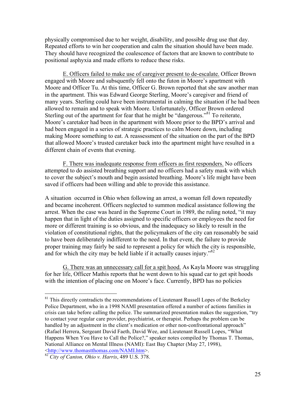physically compromised due to her weight, disability, and possible drug use that day. Repeated efforts to win her cooperation and calm the situation should have been made. They should have recognized the coalescence of factors that are known to contribute to positional asphyxia and made efforts to reduce these risks.

E. Officers failed to make use of caregiver present to de-escalate. Officer Brown engaged with Moore and subsquently fell onto the futon in Moore's apartment with Moore and Officer Tu. At this time, Officer G. Brown reported that she saw another man in the apartment. This was Edward George Sterling, Moore's caregiver and friend of many years. Sterling could have been instrumental in calming the situation if he had been allowed to remain and to speak with Moore. Unfortunately, Officer Brown ordered Sterling out of the apartment for fear that he might be "dangerous."<sup>81</sup> To reiterate, Moore's caretaker had been in the apartment with Moore prior to the BPD's arrival and had been engaged in a series of strategic practices to calm Moore down, including making Moore something to eat. A reassessment of the situation on the part of the BPD that allowed Moore's trusted caretaker back into the apartment might have resulted in a different chain of events that evening.

F. There was inadequate response from officers as first responders. No officers attempted to do assisted breathing support and no officers had a safety mask with which to cover the subject's mouth and begin assisted breathing. Moore's life might have been saved if officers had been willing and able to provide this assistance.

A situation occurred in Ohio when following an arrest, a woman fell down repeatedly and became incoherent. Officers neglected to summon medical assistance following the arrest. When the case was heard in the Supreme Court in 1989, the ruling noted, "it may happen that in light of the duties assigned to specific officers or employees the need for more or different training is so obvious, and the inadequacy so likely to result in the violation of constitutional rights, that the policymakers of the city can reasonably be said to have been deliberately indifferent to the need. In that event, the failure to provide proper training may fairly be said to represent a policy for which the city is responsible, and for which the city may be held liable if it actually causes injury.<sup>82</sup>

G. There was an unnecessary call for a spit hood. As Kayla Moore was struggling for her life, Officer Mathis reports that he went down to his squad car to get spit hoods with the intention of placing one on Moore's face. Currently, BPD has no policies

<sup>&</sup>lt;sup>81</sup> This directly contradicts the recommendations of Lieutenant Russell Lopes of the Berkeley Police Department, who in a 1998 NAMI presentation offered a number of actions families in crisis can take before calling the police. The summarized presentation makes the suggestion, "try to contact your regular care provider, psychiatrist, or therapist. Perhaps the problem can be handled by an adjustment in the client's medication or other non-confrontational approach" (Rafael Herrera, Sergeant David Faeth, David Wee, and Lieutenant Russell Lopes, "What Happens When You Have to Call the Police?," speaker notes compiled by Thomas T. Thomas, National Alliance on Mental Illness (NAMI): East Bay Chapter (May 27, 1998), <http://www.thomastthomas.com/NAMI.htm>.

<sup>82</sup> *City of Canton, Ohio v. Harris*, 489 U.S. 378.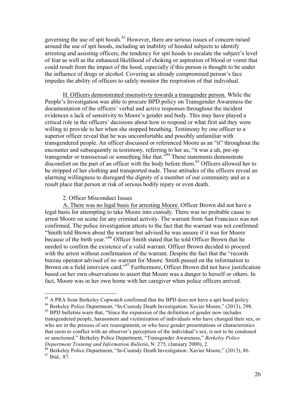governing the use of spit hoods.<sup>83</sup> However, there are serious issues of concern raised around the use of spit hoods, including an inability of hooded subjects to identify arresting and assisting officers, the tendency for spit hoods to escalate the subject's level of fear as well as the enhanced likelihood of choking or aspiration of blood or vomit that could result from the impact of the hood, especially if this person is thought to be under the influence of drugs or alcohol. Covering an already compromised person's face impedes the ability of officers to safely monitor the respiration of that individual.

H. Officers demonstrated insensitivty towards a transgender person. While the People's Investigation was able to procure BPD policy on Transgender Awareness the documentation of the officers' verbal and active responses throughout the incident evidences a lack of sensitivity to Moore's gender and body. This may have played a critical role in the officers' decisions about how to respond or what first aid they were willing to provide to her when she stopped breathing. Testimony by one officer to a superior officer reveal that he was uncomfortable and possibly unfamiliar with transgendered people. An officer discussed or referenced Moore as an "it" throughout the encounter and subsequently in testimony, referring to her as, "it was a uh, pre-op transgender or transsexual or something like that." <sup>84</sup> These statements demonstrate discomfort on the part of an officer with the body before them.<sup>85</sup> Officers allowed her to be stripped of her clothing and transported nude. These attitudes of the officers reveal an alarming willingness to disregard the dignity of a member of our community and as a result place that person at risk of serious bodily injury or even death.

2. Officer Misconduct Issues

A. There was no legal basis for arresting Moore. Officer Brown did not have a legal basis for attempting to take Moore into custody. There was no probable cause to arrest Moore on scene for any criminal activity. The warrant from San Francisco was not confirmed. The police investigation attests to the fact that the warrant was not confirmed: "Smith told Brown about the warrant but advised he was unsure if it was for Moore because of the birth year."<sup>86</sup> Officer Smith stated that he told Officer Brown that he needed to confirm the existence of a valid warrant. Officer Brown decided to proceed with the arrest without confirmation of the warrant. Despite the fact that the "records bureau operator advised of no warrant for Moore. Smith passed on the information to Brown on a field interview card."<sup>87</sup> Furthermore, Officer Brown did not have justification based on her own observations to assert that Moore was a danger to herself or others. In fact, Moore was in her own home with her caregiver when police officers arrived.

<sup>&</sup>lt;sup>83</sup> A PRA from Berkeley Copwatch confirmed that the BPD does not have a spit hood policy.

<sup>&</sup>lt;sup>84</sup> Berkeley Police Department, "In-Custody Death Investigation: Xavier Moore," (2013), 298. <sup>85</sup> BPD bulletins warn that, "Since the expansion of the definition of gender now includes transgendered people, harassment and victimization of individuals who have changed their sex, or who are in the process of sex reassignment, or who have gender presentations or characteristics that seem to conflict with an observer's perception of the individual's sex, is not to be condoned or sanctioned." Berkeley Police Department, "Transgender Awareness," *Berkeley Police Department Training and Information Bulletin*, N: 275, (January 2000), 2.

<sup>&</sup>lt;sup>86</sup> Berkeley Police Department, "In-Custody Death Investigation: Xavier Moore," (2013), 86.

<sup>87</sup> Ibid., 87.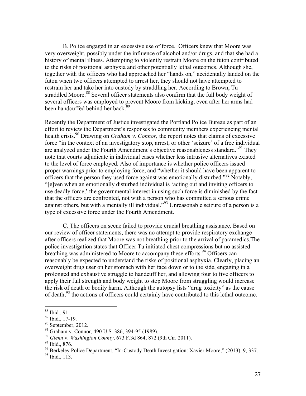B. Police engaged in an excessive use of force. Officers knew that Moore was very overweight, possibly under the influence of alcohol and/or drugs, and that she had a history of mental illness. Attempting to violently restrain Moore on the futon contributed to the risks of positional asphyxia and other potentially lethal outcomes. Although she, together with the officers who had approached her "hands on," accidentally landed on the futon when two officers attempted to arrest her, they should not have attempted to restrain her and take her into custody by straddling her. According to Brown, Tu straddled Moore.<sup>88</sup> Several officer statements also confirm that the full body weight of several officers was employed to prevent Moore from kicking, even after her arms had been handcuffed behind her back.<sup>89</sup>

Recently the Department of Justice investigated the Portland Police Bureau as part of an effort to review the Department's responses to community members experiencing mental health crisis.<sup>90</sup> Drawing on *Graham v. Connor*, the report notes that claims of excessive force "in the context of an investigatory stop, arrest, or other 'seizure' of a free individual are analyzed under the Fourth Amendment's objective reasonableness standard."<sup>91</sup> They note that courts adjudicate in individual cases whether less intrusive alternatives existed to the level of force employed. Also of importance is whether police officers issued proper warnings prior to employing force, and "whether it should have been apparent to officers that the person they used force against was emotionally disturbed."<sup>92</sup> Notably, "[e]ven when an emotionally disturbed individual is 'acting out and inviting officers to use deadly force,' the governmental interest in using such force is diminished by the fact that the officers are confronted, not with a person who has committed a serious crime against others, but with a mentally ill individual."<sup>93</sup> Unreasonable seizure of a person is a type of excessive force under the Fourth Amendment.

C. The officers on scene failed to provide crucial breathing assistance. Based on our review of officer statements, there was no attempt to provide respiratory exchange after officers realized that Moore was not breathing prior to the arrival of paramedics.The police investigation states that Officer Tu initiated chest compressions but no assisted breathing was administered to Moore to accompany these efforts.<sup>94</sup> Officers can reasonably be expected to understand the risks of positional asphyxia. Clearly, placing an overweight drug user on her stomach with her face down or to the side, engaging in a prolonged and exhaustive struggle to handcuff her, and allowing four to five officers to apply their full strength and body weight to stop Moore from struggling would increase the risk of death or bodily harm. Although the autopsy lists "drug toxicity" as the cause of death,<sup>95</sup> the actions of officers could certainly have contributed to this lethal outcome.

<sup>88</sup> Ibid., 91 .

<sup>89</sup> Ibid., 17-19.

 $90$  September, 2012.

<sup>&</sup>lt;sup>91</sup> Graham v. Connor, 490 U.S. 386, 394-95 (1989).

<sup>92</sup> *Glenn* v. *Washington County*, 673 F.3d 864, 872 (9th Cir. 2011).

<sup>93</sup> Ibid., 876.

<sup>&</sup>lt;sup>94</sup> Berkeley Police Department, "In-Custody Death Investigation: Xavier Moore," (2013), 9, 337.

<sup>&</sup>lt;sup>95</sup> Ibid., 113.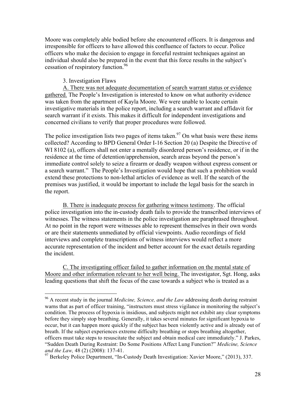Moore was completely able bodied before she encountered officers. It is dangerous and irresponsible for officers to have allowed this confluence of factors to occur. Police officers who make the decision to engage in forceful restraint techniques against an individual should also be prepared in the event that this force results in the subject's cessation of respiratory function. 96

#### 3. Investigation Flaws

A. There was not adequate documentation of search warrant status or evidence gathered. The People's Investigation is interested to know on what authority evidence was taken from the apartment of Kayla Moore. We were unable to locate certain investigative materials in the police report, including a search warrant and affidavit for search warrant if it exists. This makes it difficult for independent investigations and concerned civilians to verify that proper procedures were followed.

The police investigation lists two pages of items taken.<sup>97</sup> On what basis were these items collected? According to BPD General Order I-16 Section 20 (a) Despite the Directive of WI 8102 (a), officers shall not enter a mentally disordered person's residence, or if in the residence at the time of detention/apprehension, search areas beyond the person's immediate control solely to seize a firearm or deadly weapon without express consent or a search warrant." The People's Investigation would hope that such a prohibition would extend these protections to non-lethal articles of evidence as well. If the search of the premises was justified, it would be important to include the legal basis for the search in the report.

B. There is inadequate process for gathering witness testimony. The official police investigation into the in-custody death fails to provide the transcribed interviews of witnesses. The witness statements in the police investigation are paraphrased throughout. At no point in the report were witnesses able to represent themselves in their own words or are their statements unmediated by official viewpoints. Audio recordings of field interviews and complete transcriptions of witness interviews would reflect a more accurate representation of the incident and better account for the exact details regarding the incident.

C. The investigating officer failed to gather information on the mental state of Moore and other information relevant to her well being. The investigator, Sgt. Hong, asks leading questions that shift the focus of the case towards a subject who is treated as a

<sup>96</sup> A recent study in the journal *Medicine, Science, and the Law* addressing death during restraint warns that as part of officer training, "instructors must stress vigilance in monitoring the subject's condition. The process of hypoxia is insidious, and subjects might not exhibit any clear symptoms before they simply stop breathing. Generally, it takes several minutes for significant hypoxia to occur, but it can happen more quickly if the subject has been violently active and is already out of breath. If the subject experiences extreme difficulty breathing or stops breathing altogether, officers must take steps to resuscitate the subject and obtain medical care immediately." J. Parkes, "Sudden Death During Restraint: Do Some Positions Affect Lung Function?" *Medicine, Science and the Law,* 48 (2) (2008): 137-41.

<sup>&</sup>lt;sup>97</sup> Berkeley Police Department, "In-Custody Death Investigation: Xavier Moore," (2013), 337.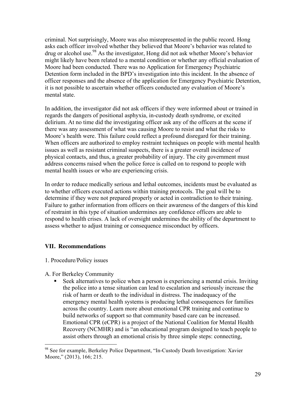criminal. Not surprisingly, Moore was also misrepresented in the public record. Hong asks each officer involved whether they believed that Moore's behavior was related to drug or alcohol use.<sup>98</sup> As the investigator, Hong did not ask whether Moore's behavior might likely have been related to a mental condition or whether any official evaluation of Moore had been conducted. There was no Application for Emergency Psychiatric Detention form included in the BPD's investigation into this incident. In the absence of officer responses and the absence of the application for Emergency Psychiatric Detention, it is not possible to ascertain whether officers conducted any evaluation of Moore's mental state.

In addition, the investigator did not ask officers if they were informed about or trained in regards the dangers of positional asphyxia, in-custody death syndrome, or excited delirium. At no time did the investigating officer ask any of the officers at the scene if there was any assessment of what was causing Moore to resist and what the risks to Moore's health were. This failure could reflect a profound disregard for their training. When officers are authorized to employ restraint techniques on people with mental health issues as well as resistant criminal suspects, there is a greater overall incidence of physical contacts, and thus, a greater probability of injury. The city government must address concerns raised when the police force is called on to respond to people with mental health issues or who are experiencing crisis.

In order to reduce medically serious and lethal outcomes, incidents must be evaluated as to whether officers executed actions within training protocols. The goal will be to determine if they were not prepared properly or acted in contradiction to their training. Failure to gather information from officers on their awareness of the dangers of this kind of restraint in this type of situation undermines any confidence officers are able to respond to health crises. A lack of oversight undermines the ability of the department to assess whether to adjust training or consequence misconduct by officers.

## **VII. Recommendations**

### 1. Procedure/Policy issues

- A. For Berkeley Community
	- Seek alternatives to police when a person is experiencing a mental crisis. Inviting the police into a tense situation can lead to escalation and seriously increase the risk of harm or death to the individual in distress. The inadequacy of the emergency mental health systems is producing lethal consequences for families across the country. Learn more about emotional CPR training and continue to build networks of support so that community based care can be increased. Emotional CPR (eCPR) is a project of the National Coalition for Mental Health Recovery (NCMHR) and is "an educational program designed to teach people to assist others through an emotional crisis by three simple steps: connecting,

<sup>98</sup> See for example, Berkeley Police Department, "In-Custody Death Investigation: Xavier Moore," (2013), 166; 215.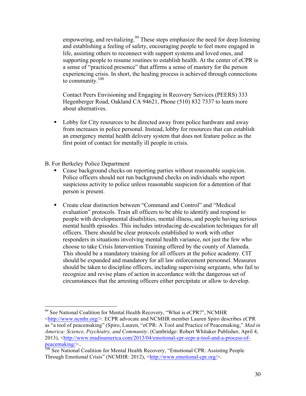empowering, and revitalizing.<sup>99</sup> These steps emphasize the need for deep listening and establishing a feeling of safety, encouraging people to feel more engaged in life, assisting others to reconnect with support systems and loved ones, and supporting people to resume routines to establish health. At the center of eCPR is a sense of "practiced presence" that affirms a sense of mastery for the person experiencing crisis. In short, the healing process is achieved through connections to community.<sup>100</sup>

Contact Peers Envisioning and Engaging in Recovery Services (PEERS) 333 Hegenberger Road, Oakland CA 94621, Phone (510) 832 7337 to learn more about alternatives.

**Lobby for City resources to be directed away from police hardware and away** from increases in police personal. Instead, lobby for resources that can establish an emergency mental health delivery system that does not feature police as the first point of contact for mentally ill people in crisis.

B. For Berkeley Police Department

- Cease background checks on reporting parties without reasonable suspicion. Police officers should not run background checks on individuals who report suspicious activity to police unless reasonable suspicion for a detention of that person is present.
- Create clear distinction between "Command and Control" and "Medical evaluation" protocols. Train all officers to be able to identify and respond to people with developmental disabilities, mental illness, and people having serious mental health episodes. This includes introducing de-escalation techniques for all officers. There should be clear protocols established to work with other responders in situations involving mental health variance, not just the few who choose to take Crisis Intervention Training offered by the county of Alameda. This should be a mandatory training for all officers at the police academy. CIT should be expanded and mandatory for all law enforcement personnel. Measures should be taken to discipline officers, including supervising sergeants, who fail to recognize and revise plans of action in accordance with the dangerous set of circumstances that the arresting officers either percipitate or allow to develop.

 $99$  See National Coalition for Mental Health Recovery, "What is eCPR?", NCMHR <http://www.ncmhr.org/>. ECPR advocate and NCMHR member Lauren Spiro describes eCPR as "a tool of peacemaking" (Spiro, Lauren, "eCPR: A Tool and Practice of Peacemaking," *Mad in America: Science, Psychiatry, and Community*. (Cambridge: Robert Whitaker Publisher, April 4, 2013), <http://www.madinamerica.com/2013/04/emotional-cpr-ecpr-a-tool-and-a-process-ofpeacemaking/>..

<sup>&</sup>lt;sup>100</sup> See National Coalition for Mental Health Recovery, "Emotional CPR: Assisting People Through Emotional Crisis" (NCMHR: 2012), <http://www.emotional-cpr.org/>.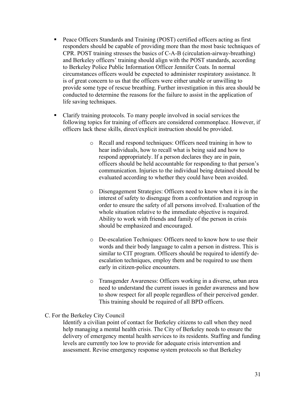- Peace Officers Standards and Training (POST) certified officers acting as first responders should be capable of providing more than the most basic techniques of CPR. POST training stresses the basics of C-A-B (circulation-airway-breathing) and Berkeley officers' training should align with the POST standards, according to Berkeley Police Public Information Officer Jennifer Coats. In normal circumstances officers would be expected to administer respiratory assistance. It is of great concern to us that the officers were either unable or unwilling to provide some type of rescue breathing. Further investigation in this area should be conducted to determine the reasons for the failure to assist in the application of life saving techniques.
- Clarify training protocols. To many people involved in social services the following topics for training of officers are considered commonplace. However, if officers lack these skills, direct/explicit instruction should be provided.
	- o Recall and respond techniques: Officers need training in how to hear individuals, how to recall what is being said and how to respond appropriately. If a person declares they are in pain, officers should be held accountable for responding to that person's communication. Injuries to the individual being detained should be evaluated according to whether they could have been avoided.
	- o Disengagement Strategies: Officers need to know when it is in the interest of safety to disengage from a confrontation and regroup in order to ensure the safety of all persons involved. Evaluation of the whole situation relative to the immediate objective is required. Ability to work with friends and family of the person in crisis should be emphasized and encouraged.
	- o De-escalation Techniques: Officers need to know how to use their words and their body language to calm a person in distress. This is similar to CIT program. Officers should be required to identify deescalation techniques, employ them and be required to use them early in citizen-police encounters.
	- o Transgender Awareness: Officers working in a diverse, urban area need to understand the current issues in gender awareness and how to show respect for all people regardless of their perceived gender. This training should be required of all BPD officers.

### C. For the Berkeley City Council

Identify a civilian point of contact for Berkeley citizens to call when they need help managing a mental health crisis. The City of Berkeley needs to ensure the delivery of emergency mental health services to its residents. Staffing and funding levels are currently too low to provide for adequate crisis intervention and assessment. Revise emergency response system protocols so that Berkeley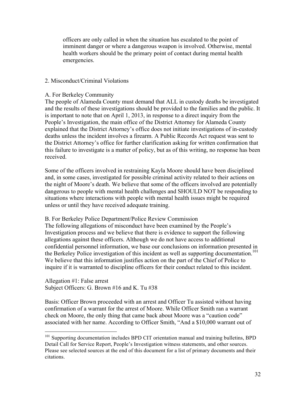officers are only called in when the situation has escalated to the point of imminent danger or where a dangerous weapon is involved. Otherwise, mental health workers should be the primary point of contact during mental health emergencies.

#### 2. Misconduct/Criminal Violations

#### A. For Berkeley Community

The people of Alameda County must demand that ALL in custody deaths be investigated and the results of these investigations should be provided to the families and the public. It is important to note that on April 1, 2013, in response to a direct inquiry from the People's Investigation, the main office of the District Attorney for Alameda County explained that the District Attorney's office does not initiate investigations of in-custody deaths unless the incident involves a firearm. A Public Records Act request was sent to the District Attorney's office for further clarification asking for written confirmation that this failure to investigate is a matter of policy, but as of this writing, no response has been received.

Some of the officers involved in restraining Kayla Moore should have been disciplined and, in some cases, investigated for possible criminal activity related to their actions on the night of Moore's death. We believe that some of the officers involved are potentially dangerous to people with mental health challenges and SHOULD NOT be responding to situations where interactions with people with mental health issues might be required unless or until they have received adequate training.

B. For Berkeley Police Department/Police Review Commission

The following allegations of misconduct have been examined by the People's Investigation process and we believe that there is evidence to support the following allegations against these officers. Although we do not have access to additional confidential personnel information, we base our conclusions on information presented in the Berkeley Police investigation of this incident as well as supporting documentation.<sup>101</sup> We believe that this information justifies action on the part of the Chief of Police to inquire if it is warranted to discipline officers for their conduct related to this incident.

Allegation #1: False arrest Subject Officers: G. Brown #16 and K. Tu #38

Basis: Officer Brown proceeded with an arrest and Officer Tu assisted without having confirmation of a warrant for the arrest of Moore. While Officer Smith ran a warrant check on Moore, the only thing that came back about Moore was a "caution code" associated with her name. According to Officer Smith, "And a \$10,000 warrant out of

<sup>&</sup>lt;sup>101</sup> Supporting documentation includes BPD CIT orientation manual and training bulletins, BPD Detail Call for Service Report, People's Investigation witness statements, and other sources. Please see selected sources at the end of this document for a list of primary documents and their citations.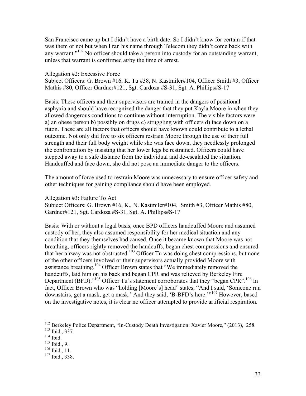San Francisco came up but I didn't have a birth date. So I didn't know for certain if that was them or not but when I ran his name through Telecom they didn't come back with any warrant."<sup>102</sup> No officer should take a person into custody for an outstanding warrant, unless that warrant is confirmed at/by the time of arrest.

#### Allegation #2: Excessive Force

Subject Officers: G. Brown #16, K. Tu #38, N. Kastmiler#104, Officer Smith #3, Officer Mathis #80, Officer Gardner#121, Sgt. Cardoza #S-31, Sgt. A. Phillips#S-17

Basis: These officers and their supervisors are trained in the dangers of positional asphyxia and should have recognized the danger that they put Kayla Moore in when they allowed dangerous conditions to continue without interruption. The visible factors were a) an obese person b) possibly on drugs c) struggling with officers d) face down on a futon. These are all factors that officers should have known could contribute to a lethal outcome. Not only did five to six officers restrain Moore through the use of their full strength and their full body weight while she was face down, they needlessly prolonged the confrontation by insisting that her lower legs be restrained. Officers could have stepped away to a safe distance from the individual and de-escalated the situation. Handcuffed and face down, she did not pose an immediate danger to the officers.

The amount of force used to restrain Moore was unnecessary to ensure officer safety and other techniques for gaining compliance should have been employed.

Allegation #3: Failure To Act Subject Officers: G. Brown #16, K., N. Kastmiler#104, Smith #3, Officer Mathis #80, Gardner#121, Sgt. Cardoza #S-31, Sgt. A. Phillips#S-17

Basis: With or without a legal basis, once BPD officers handcuffed Moore and assumed custody of her, they also assumed responsibility for her medical situation and any condition that they themselves had caused. Once it became known that Moore was not breathing, officers rightly removed the handcuffs, began chest compressions and ensured that her airway was not obstructed.<sup>103</sup> Officer Tu was doing chest compressions, but none of the other officers involved or their supervisors actually provided Moore with assistance breathing.<sup>104</sup> Officer Brown states that "We immediately removed the handcuffs, laid him on his back and began CPR and was relieved by Berkeley Fire Department (BFD)."<sup>105</sup> Officer Tu's statement corroborates that they "began CPR".<sup>106</sup> In fact, Officer Brown who was "holding [Moore's] head" states, "And I said, 'Someone run downstairs, get a mask, get a mask.' And they said, 'B-BFD's here.'" <sup>107</sup> However, based on the investigative notes, it is clear no officer attempted to provide artificial respiration.

<sup>&</sup>lt;sup>102</sup> Berkeley Police Department, "In-Custody Death Investigation: Xavier Moore," (2013), 258.

<sup>103</sup> Ibid., 337.

 $^{104}$  Ibid.

<sup>105</sup> Ibid., 9.

 $106$  Ibid., 11.

<sup>107</sup> Ibid., 338.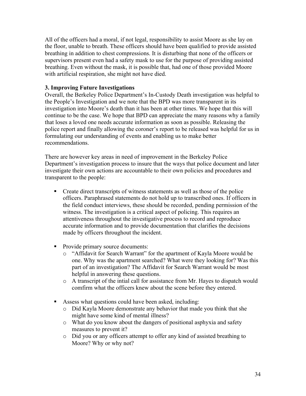All of the officers had a moral, if not legal, responsibility to assist Moore as she lay on the floor, unable to breath. These officers should have been qualified to provide assisted breathing in addition to chest compressions. It is disturbing that none of the officers or supervisors present even had a safety mask to use for the purpose of providing assisted breathing. Even without the mask, it is possible that, had one of those provided Moore with artificial respiration, she might not have died.

#### **3. Improving Future Investigations**

Overall, the Berkeley Police Department's In-Custody Death investigation was helpful to the People's Investigation and we note that the BPD was more transparent in its investigation into Moore's death than it has been at other times. We hope that this will continue to be the case. We hope that BPD can appreciate the many reasons why a family that loses a loved one needs accurate information as soon as possible. Releasing the police report and finally allowing the coroner's report to be released was helpful for us in formulating our understanding of events and enabling us to make better recommendations.

There are however key areas in need of improvement in the Berkeley Police Department's investigation process to insure that the ways that police document and later investigate their own actions are accountable to their own policies and procedures and transparent to the people:

- Create direct transcripts of witness statements as well as those of the police officers. Paraphrased statements do not hold up to transcribed ones. If officers in the field conduct interviews, these should be recorded, pending permission of the witness. The investigation is a critical aspect of policing. This requires an attentiveness throughout the investigative process to record and reproduce accurate information and to provide documentation that clarifies the decisions made by officers throughout the incident.
- Provide primary source documents:
	- o "Affidavit for Search Warrant" for the apartment of Kayla Moore would be one. Why was the apartment searched? What were they looking for? Was this part of an investigation? The Affidavit for Search Warrant would be most helpful in answering these questions.
	- o A transcript of the intial call for assistance from Mr. Hayes to dispatch would comfirm what the officers knew about the scene before they entered.
- Assess what questions could have been asked, including:
	- o Did Kayla Moore demonstrate any behavior that made you think that she might have some kind of mental illness?
	- o What do you know about the dangers of positional asphyxia and safety measures to prevent it?
	- o Did you or any officers attempt to offer any kind of assisted breathing to Moore? Why or why not?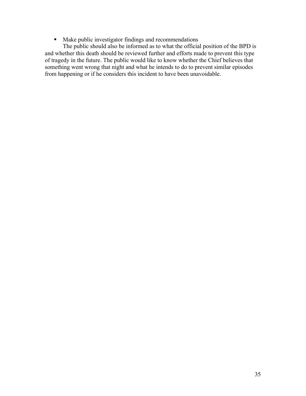**Make public investigator findings and recommendations** 

The public should also be informed as to what the official position of the BPD is and whether this death should be reviewed further and efforts made to prevent this type of tragedy in the future. The public would like to know whether the Chief believes that something went wrong that night and what he intends to do to prevent similar episodes from happening or if he considers this incident to have been unavoidable.